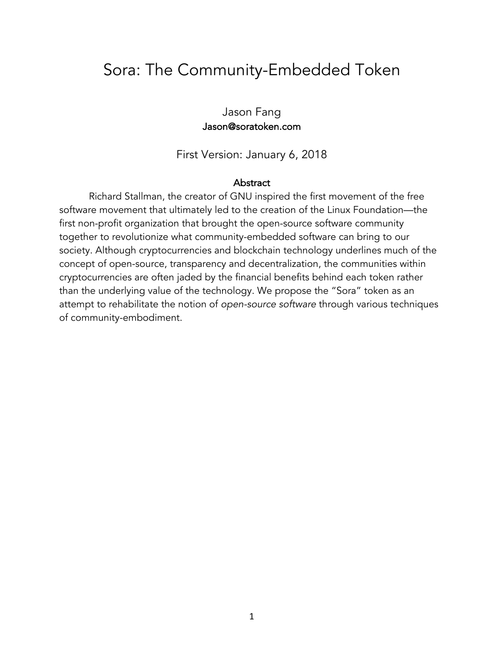### Sora: The Community-Embedded Token

Jason Fang Jason@soratoken.com

First Version: January 6, 2018

#### **Abstract**

Richard Stallman, the creator of GNU inspired the first movement of the free software movement that ultimately led to the creation of the Linux Foundation—the first non-profit organization that brought the open-source software community together to revolutionize what community-embedded software can bring to our society. Although cryptocurrencies and blockchain technology underlines much of the concept of open-source, transparency and decentralization, the communities within cryptocurrencies are often jaded by the financial benefits behind each token rather than the underlying value of the technology. We propose the "Sora" token as an attempt to rehabilitate the notion of *open-source software* through various techniques of community-embodiment.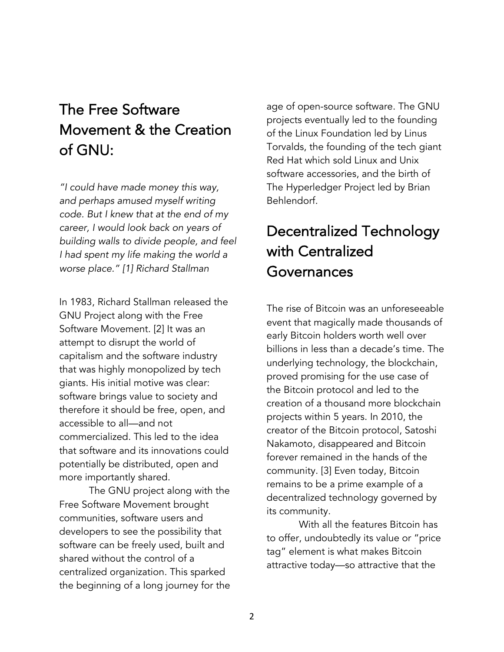# The Free Software Movement & the Creation of GNU:

*"I could have made money this way, and perhaps amused myself writing code. But I knew that at the end of my career, I would look back on years of building walls to divide people, and feel I had spent my life making the world a worse place." [1] Richard Stallman*

In 1983, Richard Stallman released the GNU Project along with the Free Software Movement. [2] It was an attempt to disrupt the world of capitalism and the software industry that was highly monopolized by tech giants. His initial motive was clear: software brings value to society and therefore it should be free, open, and accessible to all—and not commercialized. This led to the idea that software and its innovations could potentially be distributed, open and more importantly shared.

The GNU project along with the Free Software Movement brought communities, software users and developers to see the possibility that software can be freely used, built and shared without the control of a centralized organization. This sparked the beginning of a long journey for the age of open-source software. The GNU projects eventually led to the founding of the Linux Foundation led by Linus Torvalds, the founding of the tech giant Red Hat which sold Linux and Unix software accessories, and the birth of The Hyperledger Project led by Brian Behlendorf.

# Decentralized Technology with Centralized Governances

The rise of Bitcoin was an unforeseeable event that magically made thousands of early Bitcoin holders worth well over billions in less than a decade's time. The underlying technology, the blockchain, proved promising for the use case of the Bitcoin protocol and led to the creation of a thousand more blockchain projects within 5 years. In 2010, the creator of the Bitcoin protocol, Satoshi Nakamoto, disappeared and Bitcoin forever remained in the hands of the community. [3] Even today, Bitcoin remains to be a prime example of a decentralized technology governed by its community.

With all the features Bitcoin has to offer, undoubtedly its value or "price tag" element is what makes Bitcoin attractive today—so attractive that the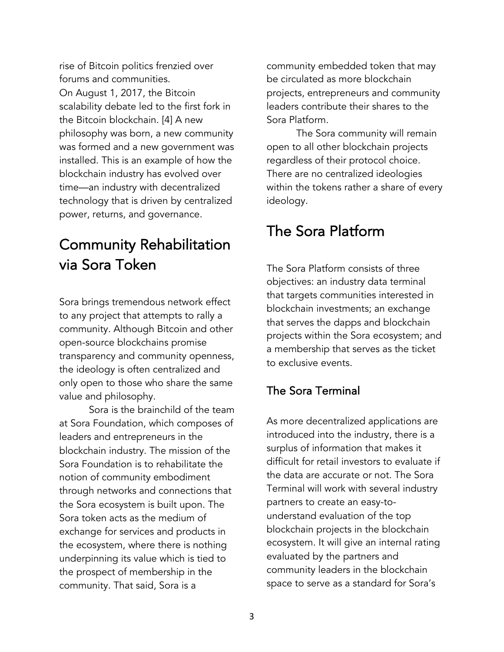rise of Bitcoin politics frenzied over forums and communities. On August 1, 2017, the Bitcoin scalability debate led to the first fork in the Bitcoin blockchain. [4] A new philosophy was born, a new community was formed and a new government was installed. This is an example of how the blockchain industry has evolved over time—an industry with decentralized technology that is driven by centralized power, returns, and governance.

### Community Rehabilitation via Sora Token

Sora brings tremendous network effect to any project that attempts to rally a community. Although Bitcoin and other open-source blockchains promise transparency and community openness, the ideology is often centralized and only open to those who share the same value and philosophy.

Sora is the brainchild of the team at Sora Foundation, which composes of leaders and entrepreneurs in the blockchain industry. The mission of the Sora Foundation is to rehabilitate the notion of community embodiment through networks and connections that the Sora ecosystem is built upon. The Sora token acts as the medium of exchange for services and products in the ecosystem, where there is nothing underpinning its value which is tied to the prospect of membership in the community. That said, Sora is a

community embedded token that may be circulated as more blockchain projects, entrepreneurs and community leaders contribute their shares to the Sora Platform.

The Sora community will remain open to all other blockchain projects regardless of their protocol choice. There are no centralized ideologies within the tokens rather a share of every ideology.

### The Sora Platform

The Sora Platform consists of three objectives: an industry data terminal that targets communities interested in blockchain investments; an exchange that serves the dapps and blockchain projects within the Sora ecosystem; and a membership that serves as the ticket to exclusive events.

### The Sora Terminal

As more decentralized applications are introduced into the industry, there is a surplus of information that makes it difficult for retail investors to evaluate if the data are accurate or not. The Sora Terminal will work with several industry partners to create an easy-tounderstand evaluation of the top blockchain projects in the blockchain ecosystem. It will give an internal rating evaluated by the partners and community leaders in the blockchain space to serve as a standard for Sora's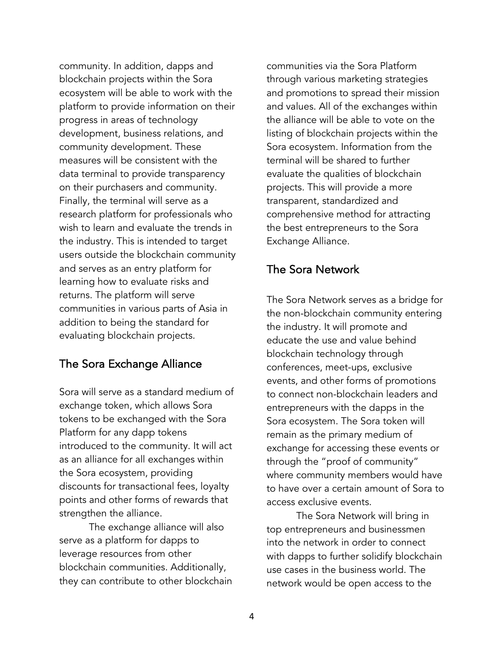community. In addition, dapps and blockchain projects within the Sora ecosystem will be able to work with the platform to provide information on their progress in areas of technology development, business relations, and community development. These measures will be consistent with the data terminal to provide transparency on their purchasers and community. Finally, the terminal will serve as a research platform for professionals who wish to learn and evaluate the trends in the industry. This is intended to target users outside the blockchain community and serves as an entry platform for learning how to evaluate risks and returns. The platform will serve communities in various parts of Asia in addition to being the standard for evaluating blockchain projects.

#### The Sora Exchange Alliance

Sora will serve as a standard medium of exchange token, which allows Sora tokens to be exchanged with the Sora Platform for any dapp tokens introduced to the community. It will act as an alliance for all exchanges within the Sora ecosystem, providing discounts for transactional fees, loyalty points and other forms of rewards that strengthen the alliance.

The exchange alliance will also serve as a platform for dapps to leverage resources from other blockchain communities. Additionally, they can contribute to other blockchain communities via the Sora Platform through various marketing strategies and promotions to spread their mission and values. All of the exchanges within the alliance will be able to vote on the listing of blockchain projects within the Sora ecosystem. Information from the terminal will be shared to further evaluate the qualities of blockchain projects. This will provide a more transparent, standardized and comprehensive method for attracting the best entrepreneurs to the Sora Exchange Alliance.

#### The Sora Network

The Sora Network serves as a bridge for the non-blockchain community entering the industry. It will promote and educate the use and value behind blockchain technology through conferences, meet-ups, exclusive events, and other forms of promotions to connect non-blockchain leaders and entrepreneurs with the dapps in the Sora ecosystem. The Sora token will remain as the primary medium of exchange for accessing these events or through the "proof of community" where community members would have to have over a certain amount of Sora to access exclusive events.

The Sora Network will bring in top entrepreneurs and businessmen into the network in order to connect with dapps to further solidify blockchain use cases in the business world. The network would be open access to the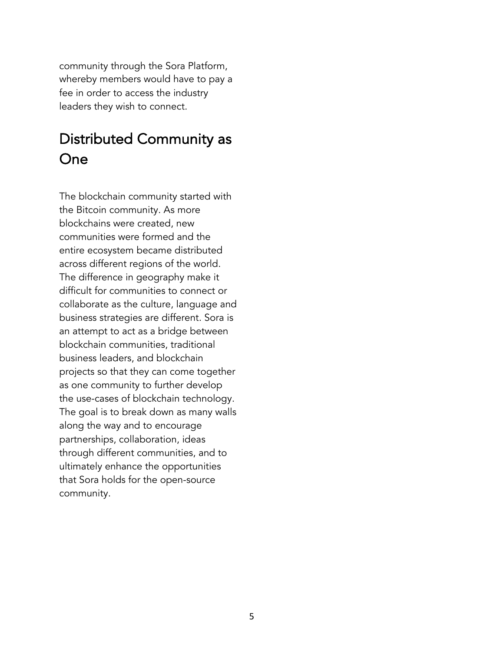community through the Sora Platform, whereby members would have to pay a fee in order to access the industry leaders they wish to connect.

### Distributed Community as One

The blockchain community started with the Bitcoin community. As more blockchains were created, new communities were formed and the entire ecosystem became distributed across different regions of the world. The difference in geography make it difficult for communities to connect or collaborate as the culture, language and business strategies are different. Sora is an attempt to act as a bridge between blockchain communities, traditional business leaders, and blockchain projects so that they can come together as one community to further develop the use-cases of blockchain technology. The goal is to break down as many walls along the way and to encourage partnerships, collaboration, ideas through different communities, and to ultimately enhance the opportunities that Sora holds for the open-source community.